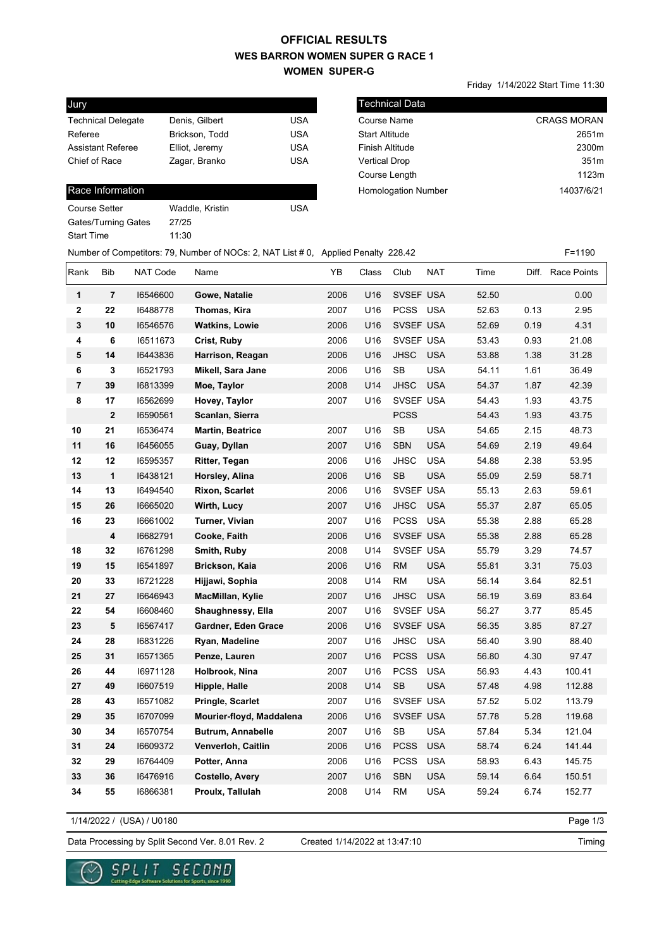## **WES BARRON WOMEN SUPER G RACE 1 WOMEN SUPER-G OFFICIAL RESULTS**

Technical Data

Friday 1/14/2022 Start Time 11:30

| Jury                      |                |            |
|---------------------------|----------------|------------|
| <b>Technical Delegate</b> | Denis, Gilbert | USA        |
| Referee                   | Brickson, Todd | USA        |
| <b>Assistant Referee</b>  | Elliot, Jeremy | <b>USA</b> |
| Chief of Race             | Zagar, Branko  | <b>USA</b> |
|                           |                |            |

## Race Information

| Course Setter       | Waddle, Kristin | USA |
|---------------------|-----------------|-----|
| Gates/Turning Gates | 27/25           |     |
| Start Time          | 11:30           |     |
|                     |                 |     |

| Technical Data             |                    |
|----------------------------|--------------------|
| <b>Course Name</b>         | <b>CRAGS MORAN</b> |
| <b>Start Altitude</b>      | 2651m              |
| <b>Finish Altitude</b>     | 2300m              |
| <b>Vertical Drop</b>       | 351m               |
| Course Length              | 1123m              |
| <b>Homologation Number</b> | 14037/6/21         |
|                            |                    |

| Number of Competitors: 79, Number of NOCs: 2, NAT List # 0, Applied Penalty 228.42 |  | F=1190 |
|------------------------------------------------------------------------------------|--|--------|
|------------------------------------------------------------------------------------|--|--------|

| Rank                    | <b>Bib</b>              | NAT Code | Name                     | YB   | Class | Club        | <b>NAT</b> | Time  | Diff. | Race Points |
|-------------------------|-------------------------|----------|--------------------------|------|-------|-------------|------------|-------|-------|-------------|
| 1                       | $\overline{\mathbf{r}}$ | 16546600 | Gowe, Natalie            | 2006 | U16   | SVSEF USA   |            | 52.50 |       | 0.00        |
| $\mathbf{2}$            | 22                      | 16488778 | Thomas, Kira             | 2007 | U16   | <b>PCSS</b> | <b>USA</b> | 52.63 | 0.13  | 2.95        |
| 3                       | 10                      | 16546576 | <b>Watkins, Lowie</b>    | 2006 | U16   | SVSEF USA   |            | 52.69 | 0.19  | 4.31        |
| 4                       | 6                       | 16511673 | Crist, Ruby              | 2006 | U16   | SVSEF USA   |            | 53.43 | 0.93  | 21.08       |
| 5                       | 14                      | 16443836 | Harrison, Reagan         | 2006 | U16   | <b>JHSC</b> | <b>USA</b> | 53.88 | 1.38  | 31.28       |
| 6                       | 3                       | 16521793 | Mikell, Sara Jane        | 2006 | U16   | <b>SB</b>   | <b>USA</b> | 54.11 | 1.61  | 36.49       |
| $\overline{\mathbf{r}}$ | 39                      | 16813399 | Moe, Taylor              | 2008 | U14   | <b>JHSC</b> | <b>USA</b> | 54.37 | 1.87  | 42.39       |
| 8                       | 17                      | 16562699 | Hovey, Taylor            | 2007 | U16   | SVSEF USA   |            | 54.43 | 1.93  | 43.75       |
|                         | $\overline{2}$          | 16590561 | Scanlan, Sierra          |      |       | <b>PCSS</b> |            | 54.43 | 1.93  | 43.75       |
| 10                      | 21                      | 16536474 | Martin, Beatrice         | 2007 | U16   | <b>SB</b>   | <b>USA</b> | 54.65 | 2.15  | 48.73       |
| 11                      | 16                      | 16456055 | Guay, Dyllan             | 2007 | U16   | <b>SBN</b>  | <b>USA</b> | 54.69 | 2.19  | 49.64       |
| 12                      | 12                      | 16595357 | <b>Ritter, Tegan</b>     | 2006 | U16   | <b>JHSC</b> | <b>USA</b> | 54.88 | 2.38  | 53.95       |
| 13                      | $\mathbf{1}$            | 16438121 | Horsley, Alina           | 2006 | U16   | <b>SB</b>   | <b>USA</b> | 55.09 | 2.59  | 58.71       |
| 14                      | 13                      | 16494540 | <b>Rixon, Scarlet</b>    | 2006 | U16   | SVSEF USA   |            | 55.13 | 2.63  | 59.61       |
| 15                      | 26                      | 16665020 | Wirth, Lucy              | 2007 | U16   | <b>JHSC</b> | <b>USA</b> | 55.37 | 2.87  | 65.05       |
| 16                      | 23                      | 16661002 | Turner, Vivian           | 2007 | U16   | <b>PCSS</b> | <b>USA</b> | 55.38 | 2.88  | 65.28       |
|                         | 4                       | 16682791 | Cooke, Faith             | 2006 | U16   | SVSEF USA   |            | 55.38 | 2.88  | 65.28       |
| 18                      | 32                      | 16761298 | Smith, Ruby              | 2008 | U14   | SVSEF USA   |            | 55.79 | 3.29  | 74.57       |
| 19                      | 15                      | 16541897 | Brickson, Kaia           | 2006 | U16   | <b>RM</b>   | <b>USA</b> | 55.81 | 3.31  | 75.03       |
| 20                      | 33                      | 16721228 | Hijjawi, Sophia          | 2008 | U14   | <b>RM</b>   | <b>USA</b> | 56.14 | 3.64  | 82.51       |
| 21                      | 27                      | 16646943 | MacMillan, Kylie         | 2007 | U16   | <b>JHSC</b> | <b>USA</b> | 56.19 | 3.69  | 83.64       |
| 22                      | 54                      | 16608460 | Shaughnessy, Ella        | 2007 | U16   | SVSEF USA   |            | 56.27 | 3.77  | 85.45       |
| 23                      | 5                       | 16567417 | Gardner, Eden Grace      | 2006 | U16   | SVSEF USA   |            | 56.35 | 3.85  | 87.27       |
| 24                      | 28                      | 16831226 | Ryan, Madeline           | 2007 | U16   | <b>JHSC</b> | <b>USA</b> | 56.40 | 3.90  | 88.40       |
| 25                      | 31                      | 16571365 | Penze, Lauren            | 2007 | U16   | <b>PCSS</b> | <b>USA</b> | 56.80 | 4.30  | 97.47       |
| 26                      | 44                      | 16971128 | Holbrook, Nina           | 2007 | U16   | <b>PCSS</b> | <b>USA</b> | 56.93 | 4.43  | 100.41      |
| 27                      | 49                      | 16607519 | Hipple, Halle            | 2008 | U14   | <b>SB</b>   | <b>USA</b> | 57.48 | 4.98  | 112.88      |
| 28                      | 43                      | 16571082 | Pringle, Scarlet         | 2007 | U16   | SVSEF USA   |            | 57.52 | 5.02  | 113.79      |
| 29                      | 35                      | 16707099 | Mourier-floyd, Maddalena | 2006 | U16   | SVSEF USA   |            | 57.78 | 5.28  | 119.68      |
| 30                      | 34                      | 16570754 | <b>Butrum, Annabelle</b> | 2007 | U16   | <b>SB</b>   | <b>USA</b> | 57.84 | 5.34  | 121.04      |
| 31                      | 24                      | 16609372 | Venverloh, Caitlin       | 2006 | U16   | <b>PCSS</b> | <b>USA</b> | 58.74 | 6.24  | 141.44      |
| 32                      | 29                      | 16764409 | Potter, Anna             | 2006 | U16   | <b>PCSS</b> | <b>USA</b> | 58.93 | 6.43  | 145.75      |
| 33                      | 36                      | 16476916 | <b>Costello, Avery</b>   | 2007 | U16   | <b>SBN</b>  | <b>USA</b> | 59.14 | 6.64  | 150.51      |
| 34                      | 55                      | 16866381 | Proulx, Tallulah         | 2008 | U14   | <b>RM</b>   | <b>USA</b> | 59.24 | 6.74  | 152.77      |

1/14/2022 / (USA) / U0180

Page 1/3

Data Processing by Split Second Ver. 8.01 Rev. 2 Created 1/14/2022 at 13:47:10

Created 1/14/2022 at 13:47:10

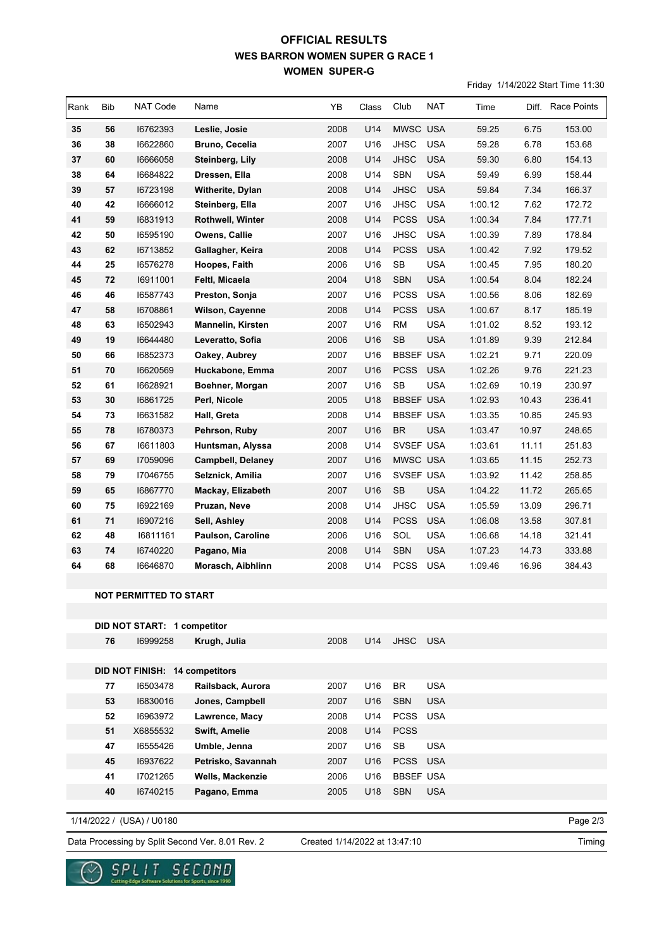## **WES BARRON WOMEN SUPER G RACE 1 WOMEN SUPER-G OFFICIAL RESULTS**

Friday 1/14/2022 Start Time 11:30

| Rank | <b>Bib</b> | <b>NAT Code</b>               | Name                     | YB   | Class | Club             | NAT        | Time    |       | Diff. Race Points |
|------|------------|-------------------------------|--------------------------|------|-------|------------------|------------|---------|-------|-------------------|
| 35   | 56         | 16762393                      | Leslie, Josie            | 2008 | U14   | MWSC USA         |            | 59.25   | 6.75  | 153.00            |
| 36   | 38         | 16622860                      | <b>Bruno, Cecelia</b>    | 2007 | U16   | <b>JHSC</b>      | <b>USA</b> | 59.28   | 6.78  | 153.68            |
| 37   | 60         | 16666058                      | Steinberg, Lily          | 2008 | U14   | <b>JHSC</b>      | <b>USA</b> | 59.30   | 6.80  | 154.13            |
| 38   | 64         | 16684822                      | Dressen, Ella            | 2008 | U14   | <b>SBN</b>       | <b>USA</b> | 59.49   | 6.99  | 158.44            |
| 39   | 57         | 16723198                      | Witherite, Dylan         | 2008 | U14   | <b>JHSC</b>      | <b>USA</b> | 59.84   | 7.34  | 166.37            |
| 40   | 42         | 16666012                      | Steinberg, Ella          | 2007 | U16   | <b>JHSC</b>      | <b>USA</b> | 1:00.12 | 7.62  | 172.72            |
| 41   | 59         | 16831913                      | Rothwell, Winter         | 2008 | U14   | <b>PCSS</b>      | <b>USA</b> | 1:00.34 | 7.84  | 177.71            |
| 42   | 50         | 16595190                      | Owens, Callie            | 2007 | U16   | <b>JHSC</b>      | <b>USA</b> | 1:00.39 | 7.89  | 178.84            |
| 43   | 62         | 16713852                      | Gallagher, Keira         | 2008 | U14   | <b>PCSS</b>      | <b>USA</b> | 1:00.42 | 7.92  | 179.52            |
| 44   | 25         | 16576278                      | Hoopes, Faith            | 2006 | U16   | ${\sf SB}$       | <b>USA</b> | 1:00.45 | 7.95  | 180.20            |
| 45   | 72         | 16911001                      | Feltl, Micaela           | 2004 | U18   | <b>SBN</b>       | <b>USA</b> | 1:00.54 | 8.04  | 182.24            |
| 46   | 46         | 16587743                      | Preston, Sonja           | 2007 | U16   | <b>PCSS</b>      | <b>USA</b> | 1:00.56 | 8.06  | 182.69            |
| 47   | 58         | 16708861                      | Wilson, Cayenne          | 2008 | U14   | <b>PCSS</b>      | <b>USA</b> | 1:00.67 | 8.17  | 185.19            |
| 48   | 63         | 16502943                      | <b>Mannelin, Kirsten</b> | 2007 | U16   | <b>RM</b>        | <b>USA</b> | 1:01.02 | 8.52  | 193.12            |
| 49   | 19         | 16644480                      | Leveratto, Sofia         | 2006 | U16   | <b>SB</b>        | <b>USA</b> | 1:01.89 | 9.39  | 212.84            |
| 50   | 66         | 16852373                      | Oakey, Aubrey            | 2007 | U16   | <b>BBSEF USA</b> |            | 1:02.21 | 9.71  | 220.09            |
| 51   | 70         | 16620569                      | Huckabone, Emma          | 2007 | U16   | <b>PCSS</b>      | <b>USA</b> | 1:02.26 | 9.76  | 221.23            |
| 52   | 61         | 16628921                      | Boehner, Morgan          | 2007 | U16   | <b>SB</b>        | <b>USA</b> | 1:02.69 | 10.19 | 230.97            |
| 53   | 30         | 16861725                      | Perl, Nicole             | 2005 | U18   | <b>BBSEF USA</b> |            | 1:02.93 | 10.43 | 236.41            |
| 54   | 73         | 16631582                      | Hall, Greta              | 2008 | U14   | <b>BBSEF USA</b> |            | 1:03.35 | 10.85 | 245.93            |
| 55   | 78         | 16780373                      | Pehrson, Ruby            | 2007 | U16   | <b>BR</b>        | <b>USA</b> | 1:03.47 | 10.97 | 248.65            |
| 56   | 67         | 16611803                      | Huntsman, Alyssa         | 2008 | U14   | SVSEF USA        |            | 1:03.61 | 11.11 | 251.83            |
| 57   | 69         | 17059096                      | <b>Campbell, Delaney</b> | 2007 | U16   | MWSC USA         |            | 1:03.65 | 11.15 | 252.73            |
| 58   | 79         | 17046755                      | Selznick, Amilia         | 2007 | U16   | SVSEF USA        |            | 1:03.92 | 11.42 | 258.85            |
| 59   | 65         | 16867770                      | Mackay, Elizabeth        | 2007 | U16   | SB               | <b>USA</b> | 1:04.22 | 11.72 | 265.65            |
| 60   | 75         | 16922169                      | Pruzan, Neve             | 2008 | U14   | JHSC             | <b>USA</b> | 1:05.59 | 13.09 | 296.71            |
| 61   | 71         | 16907216                      | Sell, Ashley             | 2008 | U14   | <b>PCSS</b>      | <b>USA</b> | 1:06.08 | 13.58 | 307.81            |
| 62   | 48         | 16811161                      | Paulson, Caroline        | 2006 | U16   | SOL              | <b>USA</b> | 1:06.68 | 14.18 | 321.41            |
| 63   | 74         | 16740220                      | Pagano, Mia              | 2008 | U14   | <b>SBN</b>       | <b>USA</b> | 1:07.23 | 14.73 | 333.88            |
| 64   | 68         | 16646870                      | Morasch, Aibhlinn        | 2008 | U14   | <b>PCSS</b>      | <b>USA</b> | 1:09.46 | 16.96 | 384.43            |
|      |            |                               |                          |      |       |                  |            |         |       |                   |
|      |            | <b>NOT PERMITTED TO START</b> |                          |      |       |                  |            |         |       |                   |

|    | DID NOT START: 1 competitor    |                         |      |                 |                  |            |
|----|--------------------------------|-------------------------|------|-----------------|------------------|------------|
| 76 | 16999258                       | Krugh, Julia            | 2008 | U14             | JHSC USA         |            |
|    |                                |                         |      |                 |                  |            |
|    | DID NOT FINISH: 14 competitors |                         |      |                 |                  |            |
| 77 | 16503478                       | Railsback, Aurora       | 2007 | U16             | <b>BR</b>        | <b>USA</b> |
| 53 | 16830016                       | Jones, Campbell         | 2007 | U <sub>16</sub> | <b>SBN</b>       | <b>USA</b> |
| 52 | 16963972                       | Lawrence, Macy          | 2008 | U14             | PCSS USA         |            |
| 51 | X6855532                       | <b>Swift, Amelie</b>    | 2008 | U14             | <b>PCSS</b>      |            |
| 47 | 16555426                       | Umble, Jenna            | 2007 | U16             | <b>SB</b>        | <b>USA</b> |
| 45 | 16937622                       | Petrisko, Savannah      | 2007 | U <sub>16</sub> | PCSS USA         |            |
| 41 | 17021265                       | <b>Wells, Mackenzie</b> | 2006 | U16             | <b>BBSEF USA</b> |            |
| 40 | 16740215                       | Pagano, Emma            | 2005 | U18             | <b>SBN</b>       | <b>USA</b> |
|    |                                |                         |      |                 |                  |            |

1/14/2022 / (USA) / U0180

 $\infty$ 

Created 1/14/2022 at 13:47:10

Page 2/3